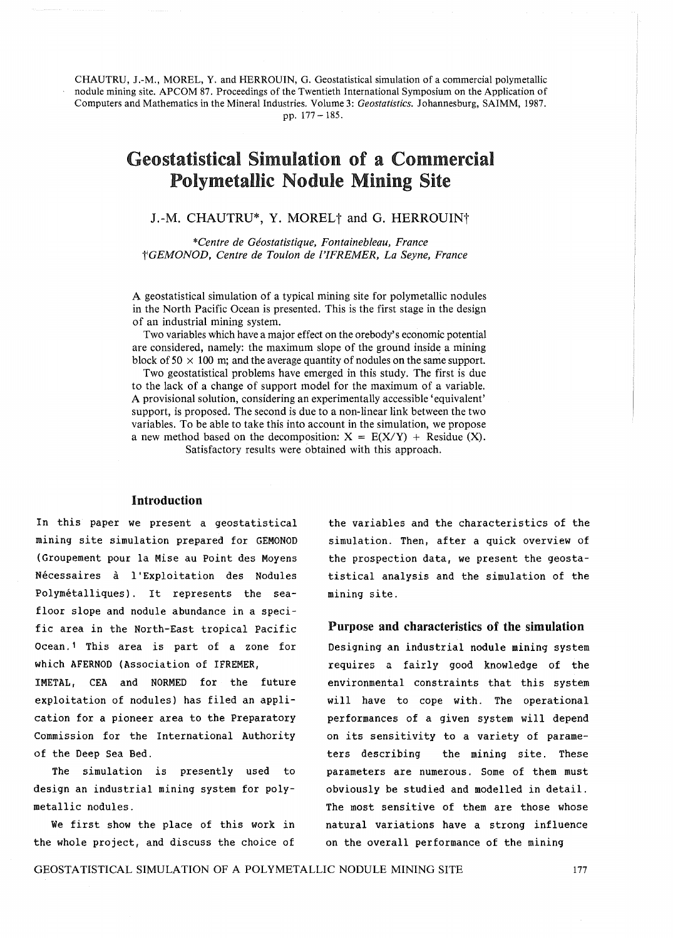CHAUTRU, J.-M., MOREL, Y. and HERROUIN, G. Geostatistical simulation of a commercial polymetallic nodule mining site. APCOM 87. Proceedings of the Twentieth International Symposium on the Application of Computers and Mathematics in the Mineral Industries. Volume 3: *Geostatistics*. Johannesburg, SAIMM, 1987. pp. 177 -185.

# Geostatistical Simulation of a Commercial Polymetallic Nodule Mining Site

J.-M. CHAUTRU\*, Y. MOREL<sup>†</sup> and G. HERROUIN<sup>†</sup>

*\*Centre de Geostatistique, Fontainebleau, France tIGEMONOD, Centre de Toulon de nFREMER, La Seyne, France* 

A geostatistical simulation of a typical mining site for polymetallic nodules in the North Pacific Ocean is presented. This is the first stage in the design of an industrial mining system.

Two variables which have a major effect on the orebody's economic potential are considered, namely: the maximum slope of the ground inside a mining block of  $50 \times 100$  m; and the average quantity of nodules on the same support.

Two geostatistical problems have emerged in this study. The first is due to the lack of a change of support model for the maximum of a variable. A provisional solution, considering an experimentally accessible 'equivalent' support, is proposed. The second is due to a non-linear link between the two variables. To be able to take this into account in the simulation, we propose a new method based on the decomposition:  $X = E(X/Y) + Residue(X)$ . Satisfactory results were obtained with this approach.

#### Introduction

In this paper we present a geostatistical mining site simulation prepared for GEMONOD (Groupement pour la Mise au Point des Moyens Necessaires a l'Exploitation des Nodules Polymétalliques). It represents the seafloor slope and nodule abundance in a specific area in the North-East tropical Pacific Ocean. 1 This area is part of a zone for which AFERNOD (Association of IFREMER,

IMETAL, CEA and NORMED for the future exploitation of nodules) has filed an application for a pioneer area to the Preparatory Commission for the International Authority of the Deep Sea Bed.

The simulation is presently used to design an industrial mining system for polymetallic nodules.

We first show the place of this work in the whole project, and discuss the choice of the variables and the characteristics of the simulation. Then, after a quick overview of the prospection data, we present the geostatistical analysis and the simulation of the mining site.

### Purpose and characteristics of the simulation

Designing an industrial nodule mining system requires a fairly good knowledge of the environmental constraints that this system will have to cope with. The operational performances of a given system will depend on its sensitivity to a variety of parameters describing the mining site. These parameters are numerous. Some of them must obviously be studied and modelled in detail. The most sensitive of them are those whose natural variations have a strong influence on the overall performance of the mining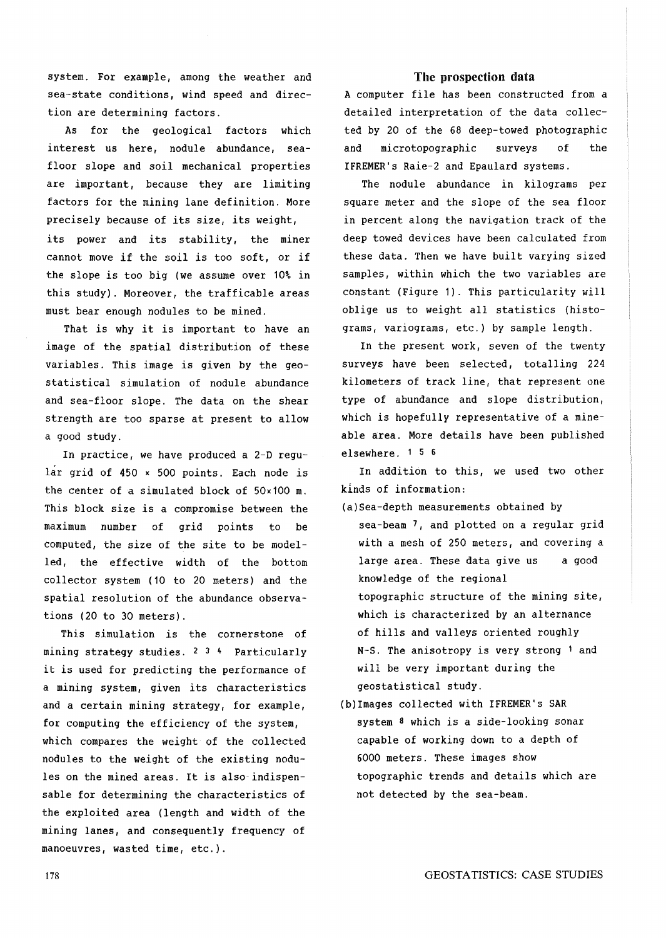system. For example, among the weather and sea-state conditions, wind speed and direction are determining factors.

As for the geological factors which interest us here, nodule abundance, seafloor slope and soil mechanical properties are important, because they are limiting factors for the mining lane definition. More precisely because of its size, its weight, its power and its stability, the miner cannot move if the soil is too soft, or if the slope is too big (we assume over 10% in this study). Moreover, the trafficable areas must bear enough nodules to be mined.

That is why it is important to have an image of the spatial distribution of these variables. This image is given by the geostatistical simulation of nodule abundance and sea-floor slope. The data on the shear strength are too sparse at present to allow a good study.

In practice, we have produced a 2-D regular grid of 450 x 500 points. Each node is the center of a simulated block of 50x100 m. This block size is a compromise between the maximum number of grid points to be computed, the size of the site to be modelled, the effective width of the bottom collector system ( 10 to 20 meters) and the spatial resolution of the abundance observations (20 to 30 meters).

This simulation is the cornerstone of mining strategy studies. 2 3 4 Particularly it is used for predicting the performance of a mining system, given its characteristics and a certain mining strategy, for example, for computing the efficiency of the system, which compares the weight of the collected nodules to the weight of the existing nodules on the mined areas. It is also-indispensable for determining the characteristics of the exploited area (length and width of the mining lanes, and consequently frequency of manoeuvres, wasted time, etc.).

## The prospection data

A computer file has been constructed from a detailed interpretation of the data collected by 20 of the 68 deep-towed photographic and microtopographic surveys of the IFREMER's Raie-2 and Epaulard systems.

The nodule abundance in kilograms per square meter and the slope of the sea floor in percent along the navigation track of the deep towed devices have been calculated from these data. Then we have built varying sized samples, within which the two variables are constant (Figure 1). This particularity will oblige us to weight all statistics (histograms, variograms, etc.) by sample length.

In the present work, seven of the twenty surveys have been selected, totalling 224 kilometers of track line, that represent one type of abundance and slope distribution, which is hopefully representative of a mineable area. More details have been published elsewhere. 1 5 6

In addition to this, we used two other kinds of information:

(a) Sea-depth measurements obtained by

- sea-beam 7, and plotted on a regular grid with a mesh of 250 meters, and covering a large area. These data give us knowledge of the regional a good topographic structure of the mining site, which is characterized by an alternance of hills and valleys oriented roughly N-S. The anisotropy is very strong 1 and will be very important during the geostatistical study.
- (b)Images collected with IFREMER's SAR system 8 which is a side-looking sonar capable of working down to a depth of 6000 meters. These images show topographic trends and details which are not detected by the sea-beam.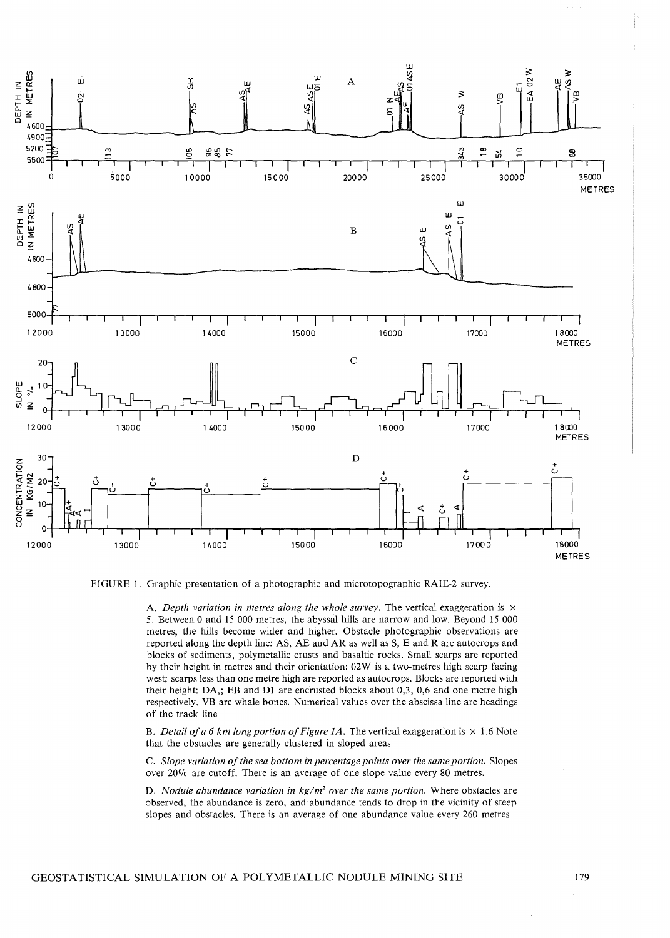

FIGURE 1. Graphic presentation of a photographic and microtopographic RAIE-2 survey.

A. *Depth variation in metres along the whole survey*. The vertical exaggeration is  $\times$ 5. Between 0 and 15 000 metres, the abyssal hills are narrow and low. Beyond 15 000 metres, the hills become wider and higher. Obstacle photographic observations are reported along the depth line: AS, AE and AR as well as S, E and Rare autocrops and blocks of sediments, polymetallic crusts and basaltic rocks. Small scarps are reported by their height in metres and their orientation: 02W is a two-metres high scarp facing west; scarps less than one metre high are reported as autocrops. Blocks are reported with their height: DA,; EB and Dl are encrusted blocks about 0,3, 0,6 and one metre high respectively. VB are whale bones. Numerical values over the abscissa line are headings of the track line

B. *Detail of a 6 km long portion of Figure 1A*. The vertical exaggeration is  $\times$  1.6 Note that the obstacles are generally clustered in sloped areas

C. *Slope variation of the sea bottom in percentage points over the same portion.* Slopes over 20% are cutoff. There is an average of one slope value every 80 metres.

D. *Nodule abundance variation in kg/m2 over the same portion.* Where obstacles are observed, the abundance is zero, and abundance tends to drop in the vicinity of steep slopes and obstacles. There is an average of one abundance value every 260 metres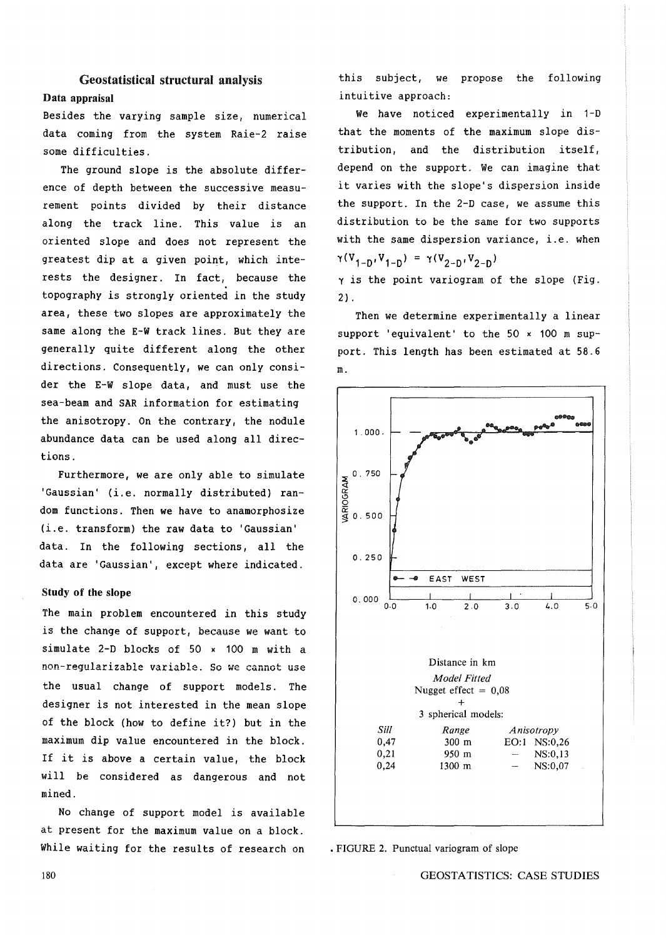# Geostatistical structural analysis Data appraisal

Besides the varying sample size, numerical data coming from the system Raie-2 raise some difficulties.

The ground slope is the absolute difference of depth between the successive measurement points divided by their distance along the track line. This value is an oriented slope and does not represent the greatest dip at a given point, which interests the designer. In fact, because the topography is strongly oriented in the study area, these two slopes are approximately the same along the E-W track lines. But *they* are generally quite different along the other directions. Consequently, we can only consider the E-W slope data, and must use the sea-beam and SAR information for estimating the anisotropy. On the contrary, the nodule abundance data can be used along all directions.

Furthermore, we are *only* able to simulate 'Gaussian' (i.e. normally distributed) random functions. Then we have to anamorphosize (i.e. transform) the raw data to 'Gaussian' data. In the following sections, all the data are 'Gaussian', except where indicated.

#### Study of **the** slope

The main problem encountered in this study is the change of support, because we want to simulate 2-D blocks of 50 x 100 m with a non-reqularizable variable. So we cannot use the usual change of support models. The designer is not interested in the mean slope of the block (how to define it?) but in the maximum dip value encountered in the block. If it is above a certain value, the block will be considered as dangerous and not mined.

No change of support model is available at present for the maximum value on a block. While waiting for the results of research on this subject, we propose the following intuitive approach:

We have noticed experimentally in 1-D that the moments of the maximum slope distribution, and the distribution itself, depend on the support. We can imagine that it varies with the slope's dispersion inside the support. In the 2-D case, we assume this distribution to be the same for two supports with the same dispersion variance, i.e. when  $\gamma(V_{1-D}, V_{1-D}) = \gamma(V_{2-D}, V_{2-D})$ 

 $\gamma$  is the point variogram of the slope (Fig. 2) .

Then we determine experimentally a linear support 'equivalent' to the 50 x 100 m support. This length has been estimated at 58.6 m.



• FIGURE 2. Punctual variogram of slope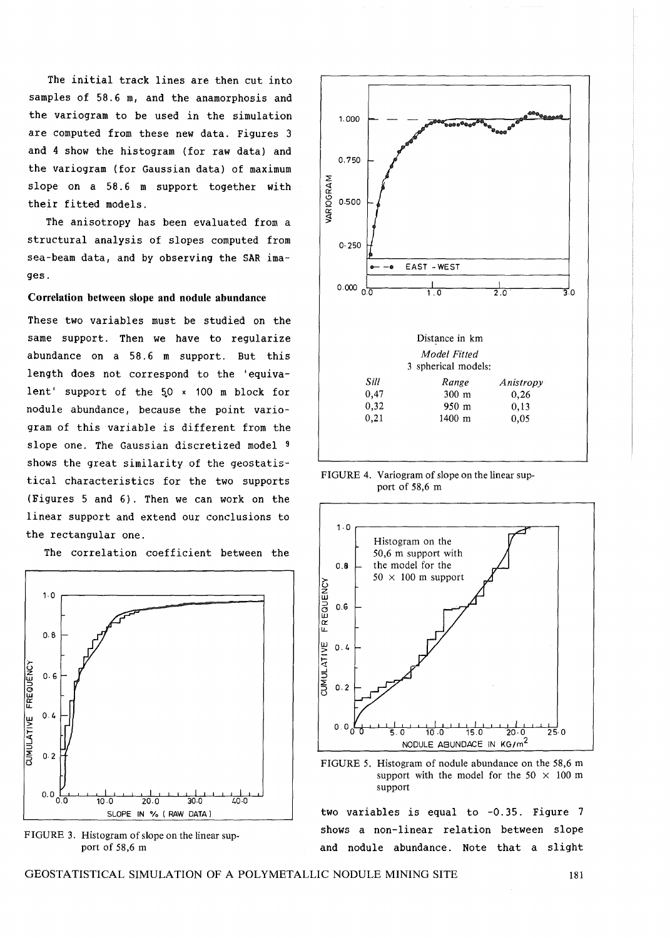The initial track lines are then cut into samples of 58.6 m, and the anamorphosis and the variogram to be used in the simulation are computed from these new data. Figures 3 and 4 show the histogram (for raw data) and the variogram (for Gaussian data) of maximum slope on a 58.6 m support together with their fitted models.

The anisotropy has been evaluated from a structural analysis of slopes computed from sea-beam data, and by observing the SAR images.

#### **Correlation between slope and nodule abundance**

These two variables must be studied on the same support. Then we have to regularize abundance on a 58.6 m support. But this length does not correspond to the 'equivalent' support of the  $50 \times 100$  m block for nodule abundance, because the point variogram of this variable is different from the slope one. The Gaussian discretized model 9 shows the great similarity of the geostatistical characteristics for the two supports (Figures 5 and 6). Then we can work on the linear support and extend our conclusions to the rectangular one.

The correlation coefficient between the



FIGURE 3. Histogram of slope on the linear support of 58,6 m



FIGURE 4. Variogram of slope on the linear support of 58,6 m



FIGURE 5. Histogram of nodule abundance on the 58,6 m support with the model for the 50  $\times$  100 m support

two variables is equal to -0.35. Figure 7 shows a non-linear relation between slope and nodule abundance. Note that a slight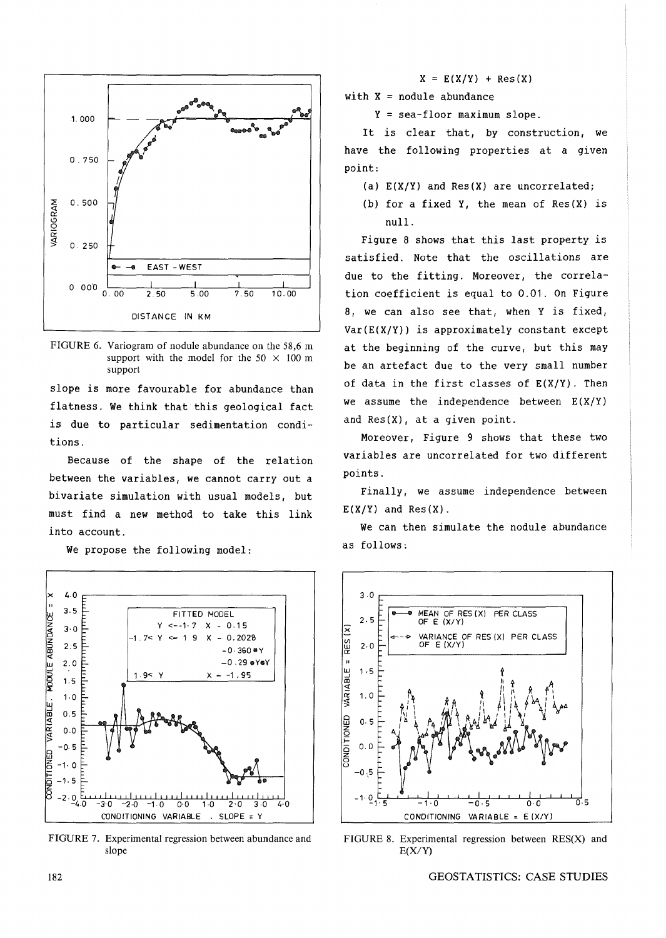



slope is more favourable for abundance than flatness. We think that this geological fact is due to particular sedimentation conditions.

Because of the shape of the relation between the variables, we cannot carry out a bivariate simulation with usual models, but must find a new method to take this link into account.

We propose the following model:



FIGURE 7. Experimental regression between abundance and slope

 $X = E(X/Y) + Res(X)$ 

with  $X =$  nodule abundance

Y = sea-floor maximum slope.

It is clear that, by construction, we have the following properties at a given point:

- (a) E(X/Y) and Res(X) are uncorrelated;
- (b) for a fixed Y, the mean of Res(X) is null.

Figure 8 shows that this last property is satisfied. Note that the oscillations are due to the fitting. Moreover, the correla- $0.00$   $2.50$   $5.00$   $7.50$   $10.00$  tion coefficient is equal to 0.01. On Figure 8, we can also see that, when Y is fixed,  $Var(E(X/Y))$  is approximately constant except at the beginning of the curve, but this may be an artefact due to the very small number of data in the first classes of  $E(X/Y)$ . Then we assume the independence between  $E(X/Y)$ and Res(X), at a given point.

> Moreover, Figure 9 shows that these two variables are uncorrelated for two different points.

> Finally, we assume independence between  $E(X/Y)$  and  $Res(X)$ .

> We can then simulate the nodule abundance as follows:



FIGURE 8. Experimental regression between RES(X) and  $E(X/Y)$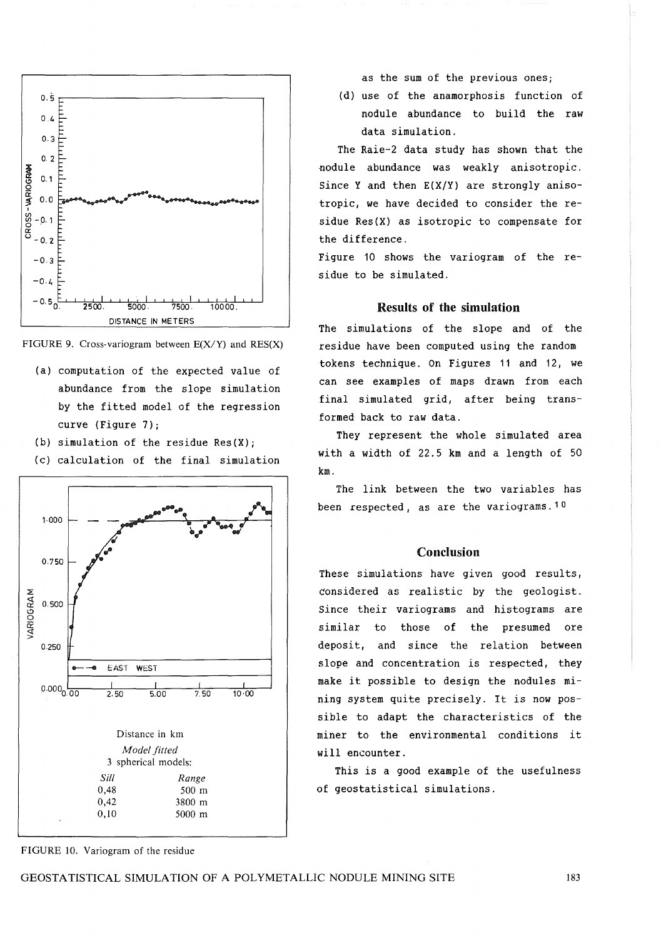



- (a) computation of the expected value of abundance from the slope simulation by the fitted model of the regression curve (Figure 7);
- (b) simulation of the residue Res(X);
- (c) calculation of the final simulation



as the sum of the previous ones;

(d) use of the anamorphosis function of nodule abundance to build the raw data simulation.

The Raie-2 data study has shown that the nodule abundance was weakly anisotropic. Since Y and then  $E(X/Y)$  are strongly anisotropic, we have decided to consider the residue Res(X) as isotropic to compensate for the difference.

Figure 10 shows the variogram of the residue to be simulated.

#### Results of the simulation

The simulations of the slope and of the residue have been computed using the random tokens technique. On Figures 11 and 12, we can see examples of maps drawn from each final simulated grid, after being transformed back to raw data.

They represent the whole simulated area with a width of 22.5 km and a length of 50 km.

The link between the two variables has been respected, as are the variograms. 10

# Conclusion

These simulations have given good results, considered as realistic by the geologist. Since their variograms and histograms are similar to those of the presumed ore deposit, and since the relation between slope and concentration is respected, they make it possible to design the nodules mining system quite precisely. It is now possible to adapt the characteristics of the miner to the environmental conditions it will encounter.

This is a good example of the usefulness of geostatistical simulations.

FIGURE 10. Variogram of the residue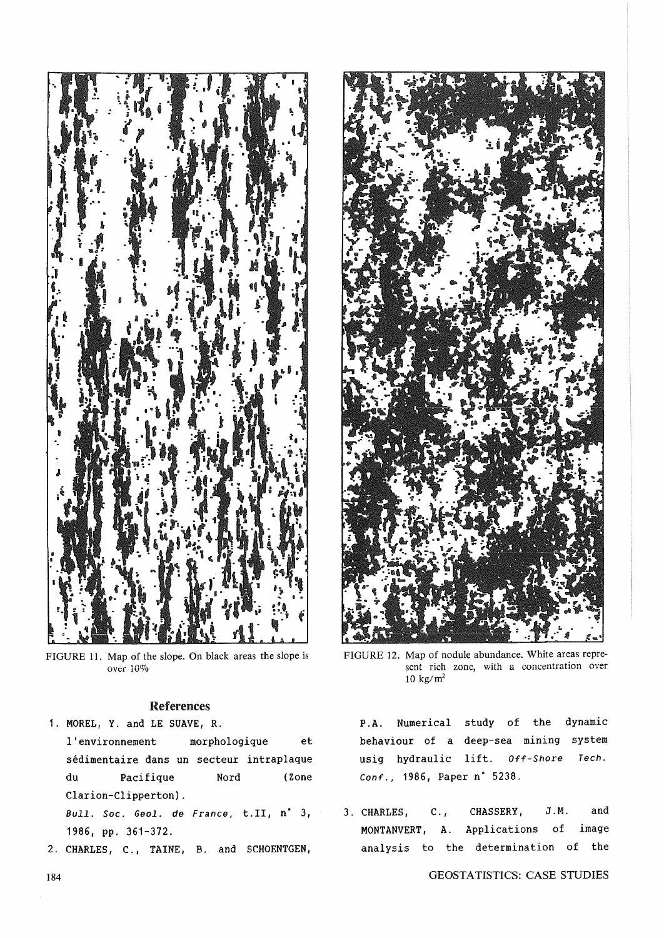

FIGURE 11. Map of the slope. On black areas the slope is over 10%

# References

1. MOREL, Y. and LE SUAVE, R.

l'environnement morphologique et sedimentaire dans un secteur intraplaque du Pacifique Nord (Zone Clarion-Clipperton).

Bull. Soc. Geol. de France, t.ll, n' 3, 1986, pp. 361-372.

2. CHARLES, C., TAINE, B. and SCHOENTGEN,



FIGURE 12. Map of nodule abundance. White areas represent rich zone, with a concentration over 10 kg/ $m^2$ 

P.A. Numerical study of the dynamic behaviour of a deep-sea mining system usig hydraulic lift. Off-Shore Tech. Conf., 1986, Paper n· 5238.

3. CHARLES, C., CHASSERY, J.M. and MONTANVERT, A. Applications of image analysis to the determination of the